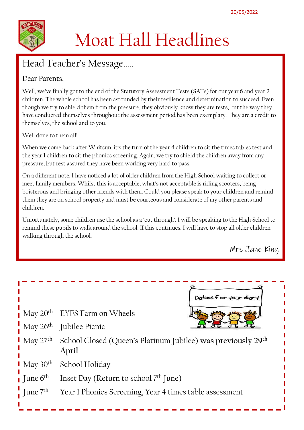

# Moat Hall Headlines

# Head Teacher's Message…..

### Dear Parents,

Well, we've finally got to the end of the Statutory Assessment Tests (SATs) for our year 6 and year 2 children. The whole school has been astounded by their resilience and determination to succeed. Even though we try to shield them from the pressure, they obviously know they are tests, but the way they have conducted themselves throughout the assessment period has been exemplary. They are a credit to themselves, the school and to you.

Well done to them all!

When we come back after Whitsun, it's the turn of the year 4 children to sit the times tables test and the year 1 children to sit the phonics screening. Again, we try to shield the children away from any pressure, but rest assured they have been working very hard to pass.

On a different note, I have noticed a lot of older children from the High School waiting to collect or meet family members. Whilst this is acceptable, what's not acceptable is riding scooters, being boisterous and bringing other friends with them. Could you please speak to your children and remind them they are on school property and must be courteous and considerate of my other parents and children.

Unfortunately, some children use the school as a 'cut through'. I will be speaking to the High School to remind these pupils to walk around the school. If this continues, I will have to stop all older children walking through the school.

Mrs Jane King

|                                     | Dates for your diary                                                                                     |  |
|-------------------------------------|----------------------------------------------------------------------------------------------------------|--|
|                                     | $\mu$ May 20 <sup>th</sup> EYFS Farm on Wheels                                                           |  |
|                                     | $\frac{1}{2}$ May 26 <sup>th</sup> Jubilee Picnic                                                        |  |
|                                     | I May 27 <sup>th</sup> School Closed (Queen's Platinum Jubilee) was previously 29 <sup>th</sup><br>April |  |
| $\blacksquare$ May 30 <sup>th</sup> | School Holiday                                                                                           |  |
| June $6^{\text{th}}$                | Inset Day (Return to school $7th$ June)                                                                  |  |
|                                     | $\frac{1}{2}$ June $7th$ Year 1 Phonics Screening, Year 4 times table assessment                         |  |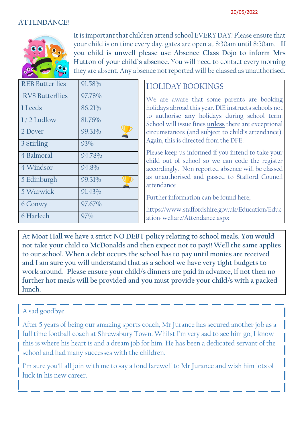#### **ATTENDANCE!**



It is important that children attend school EVERY DAY! Please ensure that your child is on time every day, gates are open at 8:30am until 8:50am. **If you child is unwell please use Absence Class Dojo to inform Mrs Hutton of your child's absence**. You will need to contact every morning they are absent. Any absence not reported will be classed as unauthorised.

| <b>REB</b> Butterflies | 91.58% |
|------------------------|--------|
| <b>RVS Butterflies</b> | 97.78% |
| 1 Leeds                | 86.21% |
| $1/2$ Ludlow           | 81.76% |
| 2 Dover                | 99.31% |
| 3 Stirling             | 93%    |
| 4 Balmoral             | 94.78% |
| 4 Windsor              | 94.8%  |
| 5 Edinburgh            | 99.31% |
| 5 Warwick              | 91.43% |
| 6 Conwy                | 97.67% |
| 6 Harlech              | 97%    |

### HOLIDAY BOOKINGS

We are aware that some parents are booking holidays abroad this year. DfE instructs schools not to authorise **any** holidays during school term. School will issue fines **unless** there are exceptional circumstances (and subject to child's attendance). Again, this is directed from the DFE.

Please keep us informed if you intend to take your child out of school so we can code the register accordingly. Non reported absence will be classed as unauthorised and passed to Stafford Council attendance

Further information can be found here;

https://www.staffordshire.gov.uk/Education/Educ ation-welfare/Attendance.aspx

**At Moat Hall we have a strict NO DEBT policy relating to school meals. You would not take your child to McDonalds and then expect not to pay!! Well the same applies to our school. When a debt occurs the school has to pay until monies are received and I am sure you will understand that as a school we have very tight budgets to work around. Please ensure your child/s dinners are paid in advance, if not then no further hot meals will be provided and you must provide your child/s with a packed lunch.**

### A sad goodbye

After 5 years of being our amazing sports coach, Mr Jurance has secured another job as a full time football coach at Shrewsbury Town. Whilst I'm very sad to see him go, I know this is where his heart is and a dream job for him. He has been a dedicated servant of the school and had many successes with the children.

I'm sure you'll all join with me to say a fond farewell to Mr Jurance and wish him lots of luck in his new career.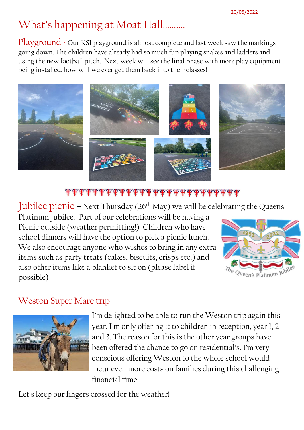# What's happening at Moat Hall……….

Playground - Our KS1 playground is almost complete and last week saw the markings going down. The children have already had so much fun playing snakes and ladders and using the new football pitch. Next week will see the final phase with more play equipment being installed, how will we ever get them back into their classes!



### \*\*\*\*\*\*\*\*\*\*\*\*\*\*\*\*\*\*\*\*\*\*\*\*\*\*\*\*\*\*

Jubilee picnic – Next Thursday ( $26<sup>th</sup>$  May) we will be celebrating the Queens

Platinum Jubilee. Part of our celebrations will be having a Picnic outside (weather permitting!) Children who have school dinners will have the option to pick a picnic lunch. We also encourage anyone who wishes to bring in any extra items such as party treats (cakes, biscuits, crisps etc.) and also other items like a blanket to sit on (please label if possible)



### Weston Super Mare trip



I'm delighted to be able to run the Weston trip again this year. I'm only offering it to children in reception, year 1, 2 and 3. The reason for this is the other year groups have been offered the chance to go on residential's. I'm very conscious offering Weston to the whole school would incur even more costs on families during this challenging financial time.

Let's keep our fingers crossed for the weather!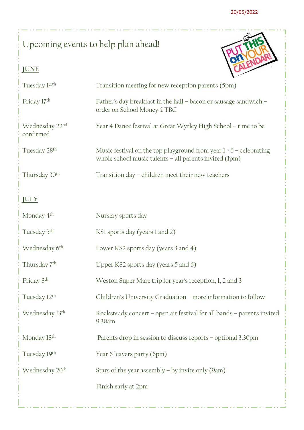# Upcoming events to help plan ahead!

## **JUNE**



| Tuesday 14 <sup>th</sup>    | Transition meeting for new reception parents (5pm)                                                                               |
|-----------------------------|----------------------------------------------------------------------------------------------------------------------------------|
| Friday 17th                 | Father's day breakfast in the hall – bacon or sausage sandwich –<br>order on School Money £ TBC                                  |
| Wednesday 22nd<br>confirmed | Year 4 Dance festival at Great Wyrley High School - time to be                                                                   |
| Tuesday 28 <sup>th</sup>    | Music festival on the top playground from year $1 - 6$ – celebrating<br>whole school music talents $-$ all parents invited (1pm) |
| Thursday 30 <sup>th</sup>   | Transition day – children meet their new teachers                                                                                |
| <b>JULY</b>                 |                                                                                                                                  |
| Monday 4 <sup>th</sup>      | Nursery sports day                                                                                                               |
| Tuesday 5 <sup>th</sup>     | KS1 sports day (years 1 and 2)                                                                                                   |
| Wednesday 6 <sup>th</sup>   | Lower KS2 sports day (years 3 and 4)                                                                                             |
| Thursday 7 <sup>th</sup>    | Upper KS2 sports day (years 5 and 6)                                                                                             |
| Friday 8 <sup>th</sup>      | Weston Super Mare trip for year's reception, 1, 2 and 3                                                                          |
| Tuesday 12 <sup>th</sup>    | Children's University Graduation - more information to follow                                                                    |
| Wednesday 13 <sup>th</sup>  | Rocksteady concert - open air festival for all bands - parents invited<br>9.30am                                                 |
| Monday 18th                 | Parents drop in session to discuss reports - optional 3.30pm                                                                     |
| Tuesday 19th                | Year 6 leavers party (6pm)                                                                                                       |
| Wednesday 20 <sup>th</sup>  | Stars of the year assembly $-$ by invite only (9am)                                                                              |
|                             | Finish early at 2pm                                                                                                              |